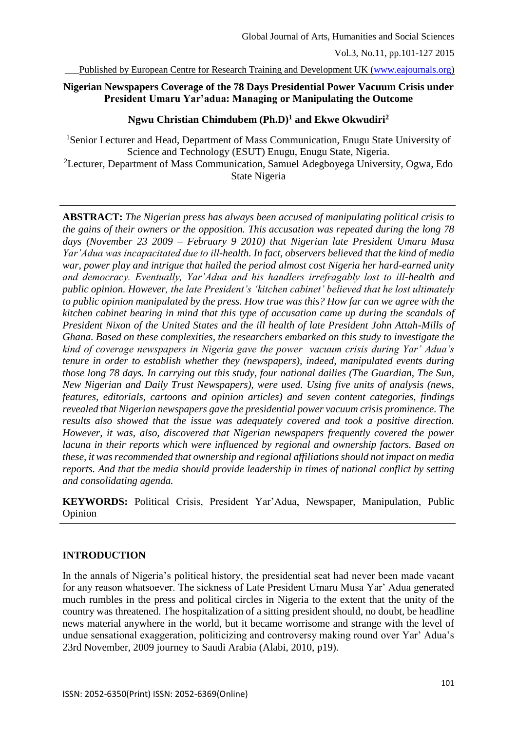Published by European Centre for Research Training and Development UK [\(www.eajournals.org\)](http://www.eajournals.org/)

### **Nigerian Newspapers Coverage of the 78 Days Presidential Power Vacuum Crisis under President Umaru Yar'adua: Managing or Manipulating the Outcome**

### **Ngwu Christian Chimdubem (Ph.D)<sup>1</sup> and Ekwe Okwudiri<sup>2</sup>**

<sup>1</sup>Senior Lecturer and Head, Department of Mass Communication, Enugu State University of Science and Technology (ESUT) Enugu, Enugu State, Nigeria. <sup>2</sup>Lecturer, Department of Mass Communication, Samuel Adegboyega University, Ogwa, Edo State Nigeria

**ABSTRACT:** *The Nigerian press has always been accused of manipulating political crisis to the gains of their owners or the opposition. This accusation was repeated during the long 78 days (November 23 2009 – February 9 2010) that Nigerian late President Umaru Musa Yar'Adua was incapacitated due to ill-health. In fact, observers believed that the kind of media war, power play and intrigue that hailed the period almost cost Nigeria her hard-earned unity and democracy. Eventually, Yar'Adua and his handlers irrefragably lost to ill-health and public opinion. However, the late President's 'kitchen cabinet' believed that he lost ultimately to public opinion manipulated by the press. How true was this? How far can we agree with the kitchen cabinet bearing in mind that this type of accusation came up during the scandals of President Nixon of the United States and the ill health of late President John Attah-Mills of Ghana. Based on these complexities, the researchers embarked on this study to investigate the kind of coverage newspapers in Nigeria gave the power vacuum crisis during Yar' Adua's tenure in order to establish whether they (newspapers), indeed, manipulated events during those long 78 days. In carrying out this study, four national dailies (The Guardian, The Sun, New Nigerian and Daily Trust Newspapers), were used. Using five units of analysis (news, features, editorials, cartoons and opinion articles) and seven content categories, findings revealed that Nigerian newspapers gave the presidential power vacuum crisis prominence. The results also showed that the issue was adequately covered and took a positive direction. However, it was, also, discovered that Nigerian newspapers frequently covered the power lacuna in their reports which were influenced by regional and ownership factors. Based on these, it was recommended that ownership and regional affiliations should not impact on media reports. And that the media should provide leadership in times of national conflict by setting and consolidating agenda.*

**KEYWORDS:** Political Crisis, President Yar'Adua, Newspaper, Manipulation, Public Opinion

## **INTRODUCTION**

In the annals of Nigeria's political history, the presidential seat had never been made vacant for any reason whatsoever. The sickness of Late President Umaru Musa Yar' Adua generated much rumbles in the press and political circles in Nigeria to the extent that the unity of the country was threatened. The hospitalization of a sitting president should, no doubt, be headline news material anywhere in the world, but it became worrisome and strange with the level of undue sensational exaggeration, politicizing and controversy making round over Yar' Adua's 23rd November, 2009 journey to Saudi Arabia (Alabi, 2010, p19).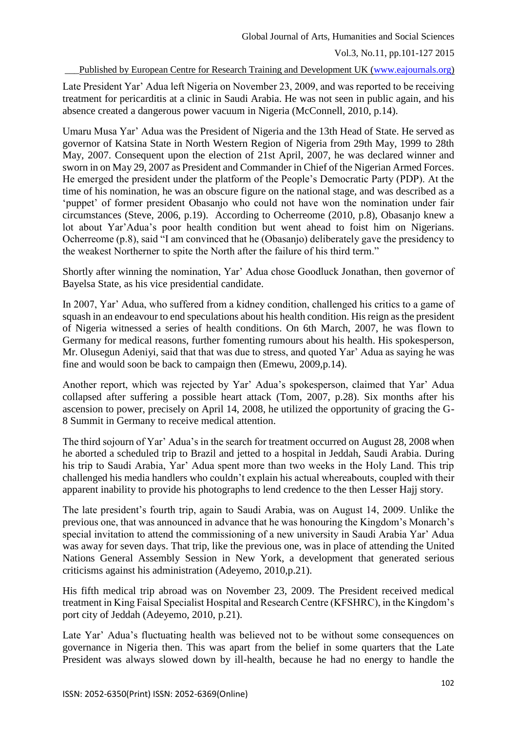### Published by European Centre for Research Training and Development UK [\(www.eajournals.org\)](http://www.eajournals.org/)

Late President Yar' Adua left Nigeria on November 23, 2009, and was reported to be receiving treatment for pericarditis at a clinic in Saudi Arabia. He was not seen in public again, and his absence created a dangerous power vacuum in Nigeria (McConnell, 2010, p.14).

Umaru Musa Yar' Adua was the President of Nigeria and the 13th Head of State. He served as governor of Katsina State in North Western Region of Nigeria from 29th May, 1999 to 28th May, 2007. Consequent upon the election of 21st April, 2007, he was declared winner and sworn in on May 29, 2007 as President and Commander in Chief of the Nigerian Armed Forces. He emerged the president under the platform of the People's Democratic Party (PDP). At the time of his nomination, he was an obscure figure on the national stage, and was described as a 'puppet' of former president Obasanjo who could not have won the nomination under fair circumstances (Steve, 2006, p.19). According to Ocherreome (2010, p.8), Obasanjo knew a lot about Yar'Adua's poor health condition but went ahead to foist him on Nigerians. Ocherreome (p.8), said "I am convinced that he (Obasanjo) deliberately gave the presidency to the weakest Northerner to spite the North after the failure of his third term."

Shortly after winning the nomination, Yar' Adua chose Goodluck Jonathan, then governor of Bayelsa State, as his vice presidential candidate.

In 2007, Yar' Adua, who suffered from a kidney condition, challenged his critics to a game of squash in an endeavour to end speculations about his health condition. His reign as the president of Nigeria witnessed a series of health conditions. On 6th March, 2007, he was flown to Germany for medical reasons, further fomenting rumours about his health. His spokesperson, Mr. Olusegun Adeniyi, said that that was due to stress, and quoted Yar' Adua as saying he was fine and would soon be back to campaign then (Emewu, 2009,p.14).

Another report, which was rejected by Yar' Adua's spokesperson, claimed that Yar' Adua collapsed after suffering a possible heart attack (Tom, 2007, p.28). Six months after his ascension to power, precisely on April 14, 2008, he utilized the opportunity of gracing the G-8 Summit in Germany to receive medical attention.

The third sojourn of Yar' Adua's in the search for treatment occurred on August 28, 2008 when he aborted a scheduled trip to Brazil and jetted to a hospital in Jeddah, Saudi Arabia. During his trip to Saudi Arabia, Yar' Adua spent more than two weeks in the Holy Land. This trip challenged his media handlers who couldn't explain his actual whereabouts, coupled with their apparent inability to provide his photographs to lend credence to the then Lesser Hajj story.

The late president's fourth trip, again to Saudi Arabia, was on August 14, 2009. Unlike the previous one, that was announced in advance that he was honouring the Kingdom's Monarch's special invitation to attend the commissioning of a new university in Saudi Arabia Yar' Adua was away for seven days. That trip, like the previous one, was in place of attending the United Nations General Assembly Session in New York, a development that generated serious criticisms against his administration (Adeyemo, 2010,p.21).

His fifth medical trip abroad was on November 23, 2009. The President received medical treatment in King Faisal Specialist Hospital and Research Centre (KFSHRC), in the Kingdom's port city of Jeddah (Adeyemo, 2010, p.21).

Late Yar' Adua's fluctuating health was believed not to be without some consequences on governance in Nigeria then. This was apart from the belief in some quarters that the Late President was always slowed down by ill-health, because he had no energy to handle the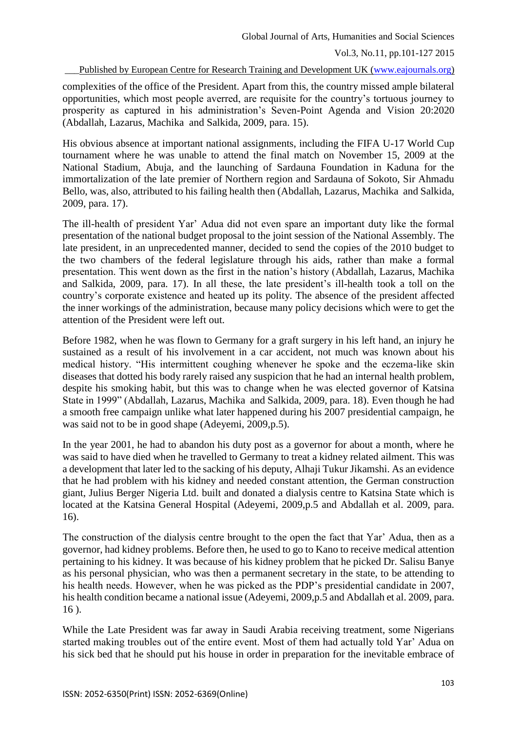Published by European Centre for Research Training and Development UK [\(www.eajournals.org\)](http://www.eajournals.org/)

complexities of the office of the President. Apart from this, the country missed ample bilateral opportunities, which most people averred, are requisite for the country's tortuous journey to prosperity as captured in his administration's Seven-Point Agenda and Vision 20:2020 (Abdallah, Lazarus, Machika and Salkida, 2009, para. 15).

His obvious absence at important national assignments, including the FIFA U-17 World Cup tournament where he was unable to attend the final match on November 15, 2009 at the National Stadium, Abuja, and the launching of Sardauna Foundation in Kaduna for the immortalization of the late premier of Northern region and Sardauna of Sokoto, Sir Ahmadu Bello, was, also, attributed to his failing health then (Abdallah, Lazarus, Machika and Salkida, 2009, para. 17).

The ill-health of president Yar' Adua did not even spare an important duty like the formal presentation of the national budget proposal to the joint session of the National Assembly. The late president, in an unprecedented manner, decided to send the copies of the 2010 budget to the two chambers of the federal legislature through his aids, rather than make a formal presentation. This went down as the first in the nation's history (Abdallah, Lazarus, Machika and Salkida, 2009, para. 17). In all these, the late president's ill-health took a toll on the country's corporate existence and heated up its polity. The absence of the president affected the inner workings of the administration, because many policy decisions which were to get the attention of the President were left out.

Before 1982, when he was flown to Germany for a graft surgery in his left hand, an injury he sustained as a result of his involvement in a car accident, not much was known about his medical history. "His intermittent coughing whenever he spoke and the eczema-like skin diseases that dotted his body rarely raised any suspicion that he had an internal health problem, despite his smoking habit, but this was to change when he was elected governor of Katsina State in 1999" (Abdallah, Lazarus, Machika and Salkida, 2009, para. 18). Even though he had a smooth free campaign unlike what later happened during his 2007 presidential campaign, he was said not to be in good shape (Adeyemi, 2009,p.5).

In the year 2001, he had to abandon his duty post as a governor for about a month, where he was said to have died when he travelled to Germany to treat a kidney related ailment. This was a development that later led to the sacking of his deputy, Alhaji Tukur Jikamshi. As an evidence that he had problem with his kidney and needed constant attention, the German construction giant, Julius Berger Nigeria Ltd. built and donated a dialysis centre to Katsina State which is located at the Katsina General Hospital (Adeyemi, 2009,p.5 and Abdallah et al. 2009, para. 16).

The construction of the dialysis centre brought to the open the fact that Yar' Adua, then as a governor, had kidney problems. Before then, he used to go to Kano to receive medical attention pertaining to his kidney. It was because of his kidney problem that he picked Dr. Salisu Banye as his personal physician, who was then a permanent secretary in the state, to be attending to his health needs. However, when he was picked as the PDP's presidential candidate in 2007, his health condition became a national issue (Adeyemi, 2009,p.5 and Abdallah et al. 2009, para. 16 ).

While the Late President was far away in Saudi Arabia receiving treatment, some Nigerians started making troubles out of the entire event. Most of them had actually told Yar' Adua on his sick bed that he should put his house in order in preparation for the inevitable embrace of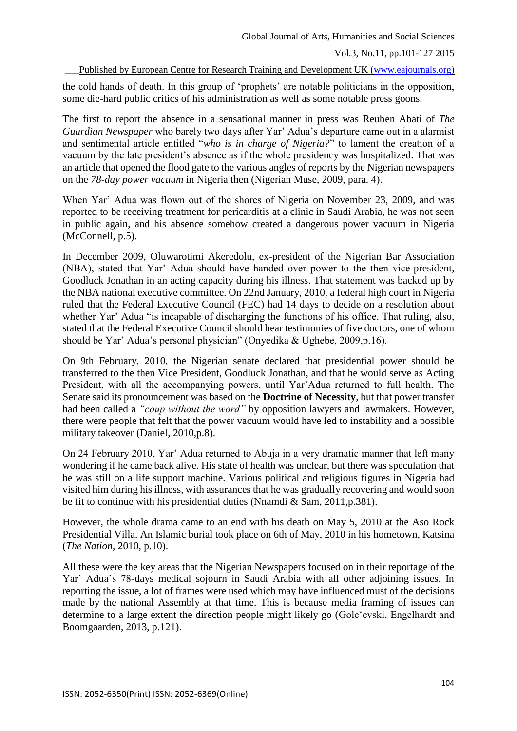Published by European Centre for Research Training and Development UK [\(www.eajournals.org\)](http://www.eajournals.org/)

the cold hands of death. In this group of 'prophets' are notable politicians in the opposition, some die-hard public critics of his administration as well as some notable press goons.

The first to report the absence in a sensational manner in press was Reuben Abati of *The Guardian Newspaper* who barely two days after Yar' Adua's departure came out in a alarmist and sentimental article entitled "*who is in charge of Nigeria?*" to lament the creation of a vacuum by the late president's absence as if the whole presidency was hospitalized. That was an article that opened the flood gate to the various angles of reports by the Nigerian newspapers on the *78-day power vacuum* in Nigeria then (Nigerian Muse, 2009, para. 4).

When Yar' Adua was flown out of the shores of Nigeria on November 23, 2009, and was reported to be receiving treatment for pericarditis at a clinic in Saudi Arabia, he was not seen in public again, and his absence somehow created a dangerous power vacuum in Nigeria (McConnell, p.5).

In December 2009, Oluwarotimi Akeredolu, ex-president of the Nigerian Bar Association (NBA), stated that Yar' Adua should have handed over power to the then vice-president, Goodluck Jonathan in an acting capacity during his illness. That statement was backed up by the NBA national executive committee. On 22nd January, 2010, a federal high court in Nigeria ruled that the Federal Executive Council (FEC) had 14 days to decide on a resolution about whether Yar' Adua "is incapable of discharging the functions of his office. That ruling, also, stated that the Federal Executive Council should hear testimonies of five doctors, one of whom should be Yar' Adua's personal physician" (Onyedika & Ughebe, 2009,p.16).

On 9th February, 2010, the Nigerian senate declared that presidential power should be transferred to the then Vice President, Goodluck Jonathan, and that he would serve as Acting President, with all the accompanying powers, until Yar'Adua returned to full health. The Senate said its pronouncement was based on the **Doctrine of Necessity**, but that power transfer had been called a *"coup without the word"* by opposition lawyers and lawmakers. However, there were people that felt that the power vacuum would have led to instability and a possible military takeover (Daniel, 2010,p.8).

On 24 February 2010, Yar' Adua returned to Abuja in a very dramatic manner that left many wondering if he came back alive. His state of health was unclear, but there was speculation that he was still on a life support machine. Various political and religious figures in Nigeria had visited him during his illness, with assurances that he was gradually recovering and would soon be fit to continue with his presidential duties (Nnamdi & Sam, 2011,p.381).

However, the whole drama came to an end with his death on May 5, 2010 at the Aso Rock Presidential Villa. An Islamic burial took place on 6th of May, 2010 in his hometown, Katsina (*The Nation*, 2010, p.10).

All these were the key areas that the Nigerian Newspapers focused on in their reportage of the Yar' Adua's 78-days medical sojourn in Saudi Arabia with all other adjoining issues. In reporting the issue, a lot of frames were used which may have influenced must of the decisions made by the national Assembly at that time. This is because media framing of issues can determine to a large extent the direction people might likely go (Golcˇevski, Engelhardt and Boomgaarden, 2013, p.121).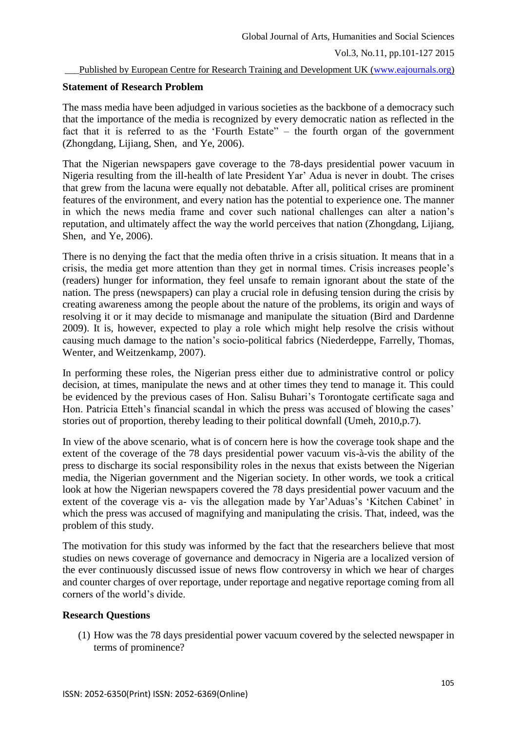#### Published by European Centre for Research Training and Development UK [\(www.eajournals.org\)](http://www.eajournals.org/)

#### **Statement of Research Problem**

The mass media have been adjudged in various societies as the backbone of a democracy such that the importance of the media is recognized by every democratic nation as reflected in the fact that it is referred to as the 'Fourth Estate" – the fourth organ of the government (Zhongdang, Lijiang, Shen, and Ye, 2006).

That the Nigerian newspapers gave coverage to the 78-days presidential power vacuum in Nigeria resulting from the ill-health of late President Yar' Adua is never in doubt. The crises that grew from the lacuna were equally not debatable. After all, political crises are prominent features of the environment, and every nation has the potential to experience one. The manner in which the news media frame and cover such national challenges can alter a nation's reputation, and ultimately affect the way the world perceives that nation (Zhongdang, Lijiang, Shen, and Ye, 2006).

There is no denying the fact that the media often thrive in a crisis situation. It means that in a crisis, the media get more attention than they get in normal times. Crisis increases people's (readers) hunger for information, they feel unsafe to remain ignorant about the state of the nation. The press (newspapers) can play a crucial role in defusing tension during the crisis by creating awareness among the people about the nature of the problems, its origin and ways of resolving it or it may decide to mismanage and manipulate the situation (Bird and Dardenne 2009). It is, however, expected to play a role which might help resolve the crisis without causing much damage to the nation's socio-political fabrics (Niederdeppe, Farrelly, Thomas, Wenter, and Weitzenkamp, 2007).

In performing these roles, the Nigerian press either due to administrative control or policy decision, at times, manipulate the news and at other times they tend to manage it. This could be evidenced by the previous cases of Hon. Salisu Buhari's Torontogate certificate saga and Hon. Patricia Etteh's financial scandal in which the press was accused of blowing the cases' stories out of proportion, thereby leading to their political downfall (Umeh, 2010,p.7).

In view of the above scenario, what is of concern here is how the coverage took shape and the extent of the coverage of the 78 days presidential power vacuum vis-à-vis the ability of the press to discharge its social responsibility roles in the nexus that exists between the Nigerian media, the Nigerian government and the Nigerian society. In other words, we took a critical look at how the Nigerian newspapers covered the 78 days presidential power vacuum and the extent of the coverage vis a- vis the allegation made by Yar'Aduas's 'Kitchen Cabinet' in which the press was accused of magnifying and manipulating the crisis. That, indeed, was the problem of this study.

The motivation for this study was informed by the fact that the researchers believe that most studies on news coverage of governance and democracy in Nigeria are a localized version of the ever continuously discussed issue of news flow controversy in which we hear of charges and counter charges of over reportage, under reportage and negative reportage coming from all corners of the world's divide.

## **Research Questions**

(1) How was the 78 days presidential power vacuum covered by the selected newspaper in terms of prominence?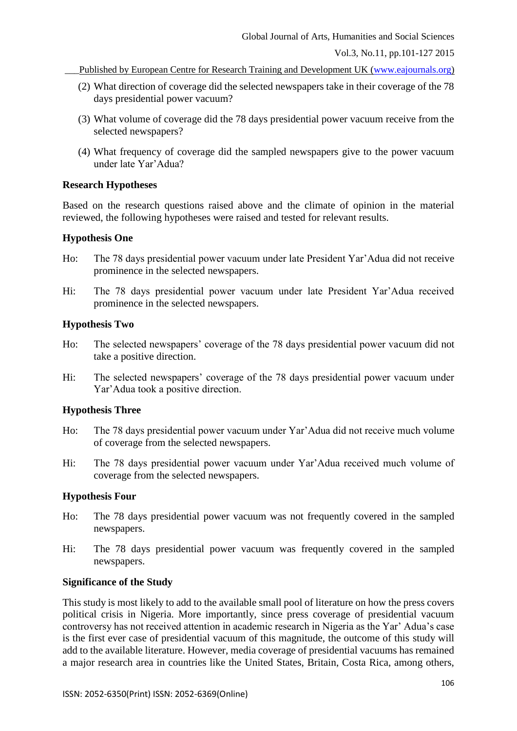Published by European Centre for Research Training and Development UK [\(www.eajournals.org\)](http://www.eajournals.org/)

- (2) What direction of coverage did the selected newspapers take in their coverage of the 78 days presidential power vacuum?
- (3) What volume of coverage did the 78 days presidential power vacuum receive from the selected newspapers?
- (4) What frequency of coverage did the sampled newspapers give to the power vacuum under late Yar'Adua?

### **Research Hypotheses**

Based on the research questions raised above and the climate of opinion in the material reviewed, the following hypotheses were raised and tested for relevant results.

### **Hypothesis One**

- Ho: The 78 days presidential power vacuum under late President Yar'Adua did not receive prominence in the selected newspapers.
- Hi: The 78 days presidential power vacuum under late President Yar'Adua received prominence in the selected newspapers.

### **Hypothesis Two**

- Ho: The selected newspapers' coverage of the 78 days presidential power vacuum did not take a positive direction.
- Hi: The selected newspapers' coverage of the 78 days presidential power vacuum under Yar'Adua took a positive direction.

## **Hypothesis Three**

- Ho: The 78 days presidential power vacuum under Yar'Adua did not receive much volume of coverage from the selected newspapers.
- Hi: The 78 days presidential power vacuum under Yar'Adua received much volume of coverage from the selected newspapers.

### **Hypothesis Four**

- Ho: The 78 days presidential power vacuum was not frequently covered in the sampled newspapers.
- Hi: The 78 days presidential power vacuum was frequently covered in the sampled newspapers.

#### **Significance of the Study**

This study is most likely to add to the available small pool of literature on how the press covers political crisis in Nigeria. More importantly, since press coverage of presidential vacuum controversy has not received attention in academic research in Nigeria as the Yar' Adua's case is the first ever case of presidential vacuum of this magnitude, the outcome of this study will add to the available literature. However, media coverage of presidential vacuums has remained a major research area in countries like the United States, Britain, Costa Rica, among others,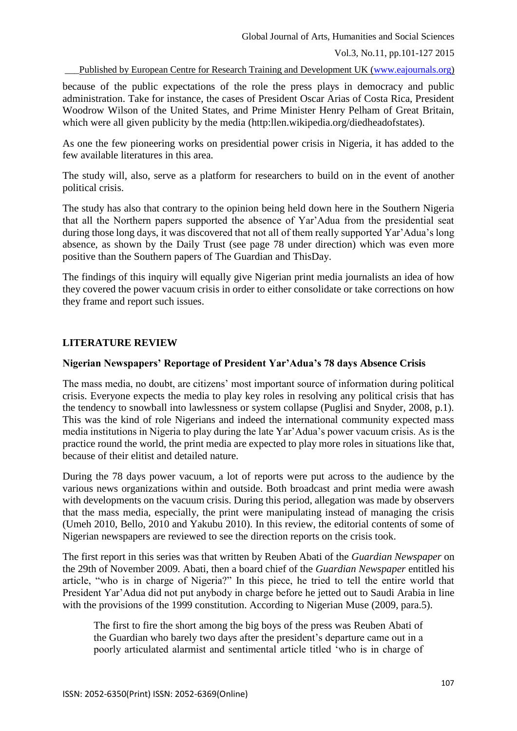Published by European Centre for Research Training and Development UK [\(www.eajournals.org\)](http://www.eajournals.org/)

because of the public expectations of the role the press plays in democracy and public administration. Take for instance, the cases of President Oscar Arias of Costa Rica, President Woodrow Wilson of the United States, and Prime Minister Henry Pelham of Great Britain, which were all given publicity by the media (http:llen.wikipedia.org/diedheadofstates).

As one the few pioneering works on presidential power crisis in Nigeria, it has added to the few available literatures in this area.

The study will, also, serve as a platform for researchers to build on in the event of another political crisis.

The study has also that contrary to the opinion being held down here in the Southern Nigeria that all the Northern papers supported the absence of Yar'Adua from the presidential seat during those long days, it was discovered that not all of them really supported Yar'Adua's long absence, as shown by the Daily Trust (see page 78 under direction) which was even more positive than the Southern papers of The Guardian and ThisDay.

The findings of this inquiry will equally give Nigerian print media journalists an idea of how they covered the power vacuum crisis in order to either consolidate or take corrections on how they frame and report such issues.

## **LITERATURE REVIEW**

#### **Nigerian Newspapers' Reportage of President Yar'Adua's 78 days Absence Crisis**

The mass media, no doubt, are citizens' most important source of information during political crisis. Everyone expects the media to play key roles in resolving any political crisis that has the tendency to snowball into lawlessness or system collapse (Puglisi and Snyder, 2008, p.1). This was the kind of role Nigerians and indeed the international community expected mass media institutions in Nigeria to play during the late Yar'Adua's power vacuum crisis. As is the practice round the world, the print media are expected to play more roles in situations like that, because of their elitist and detailed nature.

During the 78 days power vacuum, a lot of reports were put across to the audience by the various news organizations within and outside. Both broadcast and print media were awash with developments on the vacuum crisis. During this period, allegation was made by observers that the mass media, especially, the print were manipulating instead of managing the crisis (Umeh 2010, Bello, 2010 and Yakubu 2010). In this review, the editorial contents of some of Nigerian newspapers are reviewed to see the direction reports on the crisis took.

The first report in this series was that written by Reuben Abati of the *Guardian Newspaper* on the 29th of November 2009. Abati, then a board chief of the *Guardian Newspaper* entitled his article, "who is in charge of Nigeria?" In this piece, he tried to tell the entire world that President Yar'Adua did not put anybody in charge before he jetted out to Saudi Arabia in line with the provisions of the 1999 constitution. According to Nigerian Muse (2009, para.5).

The first to fire the short among the big boys of the press was Reuben Abati of the Guardian who barely two days after the president's departure came out in a poorly articulated alarmist and sentimental article titled 'who is in charge of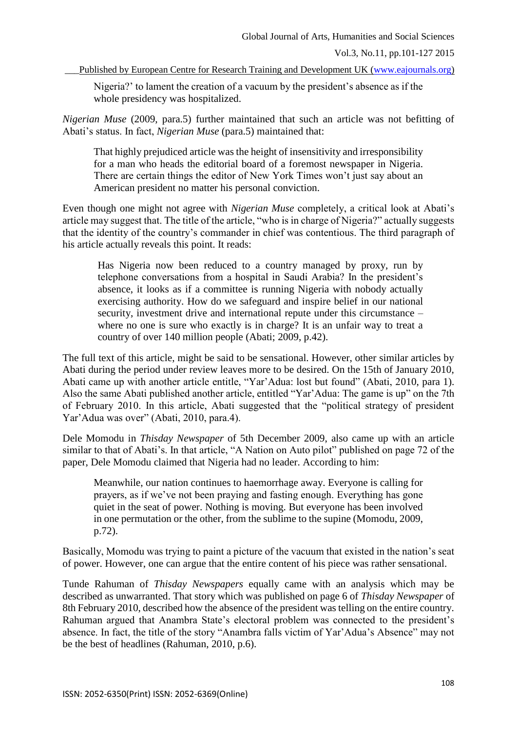Published by European Centre for Research Training and Development UK [\(www.eajournals.org\)](http://www.eajournals.org/)

Nigeria?' to lament the creation of a vacuum by the president's absence as if the whole presidency was hospitalized.

*Nigerian Muse* (2009, para.5) further maintained that such an article was not befitting of Abati's status. In fact, *Nigerian Muse* (para.5) maintained that:

That highly prejudiced article was the height of insensitivity and irresponsibility for a man who heads the editorial board of a foremost newspaper in Nigeria. There are certain things the editor of New York Times won't just say about an American president no matter his personal conviction.

Even though one might not agree with *Nigerian Muse* completely, a critical look at Abati's article may suggest that. The title of the article, "who is in charge of Nigeria?" actually suggests that the identity of the country's commander in chief was contentious. The third paragraph of his article actually reveals this point. It reads:

Has Nigeria now been reduced to a country managed by proxy, run by telephone conversations from a hospital in Saudi Arabia? In the president's absence, it looks as if a committee is running Nigeria with nobody actually exercising authority. How do we safeguard and inspire belief in our national security, investment drive and international repute under this circumstance – where no one is sure who exactly is in charge? It is an unfair way to treat a country of over 140 million people (Abati; 2009, p.42).

The full text of this article, might be said to be sensational. However, other similar articles by Abati during the period under review leaves more to be desired. On the 15th of January 2010, Abati came up with another article entitle, "Yar'Adua: lost but found" (Abati, 2010, para 1). Also the same Abati published another article, entitled "Yar'Adua: The game is up" on the 7th of February 2010. In this article, Abati suggested that the "political strategy of president Yar'Adua was over" (Abati, 2010, para.4).

Dele Momodu in *Thisday Newspaper* of 5th December 2009, also came up with an article similar to that of Abati's. In that article, "A Nation on Auto pilot" published on page 72 of the paper, Dele Momodu claimed that Nigeria had no leader. According to him:

Meanwhile, our nation continues to haemorrhage away. Everyone is calling for prayers, as if we've not been praying and fasting enough. Everything has gone quiet in the seat of power. Nothing is moving. But everyone has been involved in one permutation or the other, from the sublime to the supine (Momodu, 2009, p.72).

Basically, Momodu was trying to paint a picture of the vacuum that existed in the nation's seat of power. However, one can argue that the entire content of his piece was rather sensational.

Tunde Rahuman of *Thisday Newspapers* equally came with an analysis which may be described as unwarranted. That story which was published on page 6 of *Thisday Newspaper* of 8th February 2010, described how the absence of the president was telling on the entire country. Rahuman argued that Anambra State's electoral problem was connected to the president's absence. In fact, the title of the story "Anambra falls victim of Yar'Adua's Absence" may not be the best of headlines (Rahuman, 2010, p.6).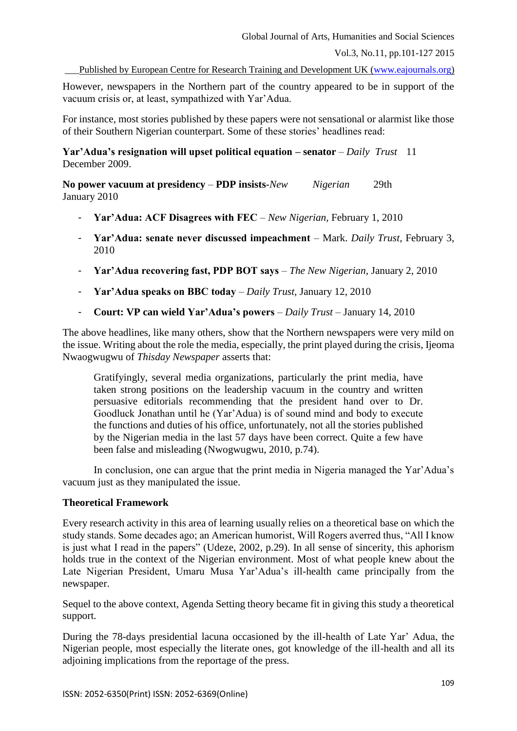Vol.3, No.11, pp.101-127 2015

Published by European Centre for Research Training and Development UK [\(www.eajournals.org\)](http://www.eajournals.org/)

However, newspapers in the Northern part of the country appeared to be in support of the vacuum crisis or, at least, sympathized with Yar'Adua.

For instance, most stories published by these papers were not sensational or alarmist like those of their Southern Nigerian counterpart. Some of these stories' headlines read:

**Yar'Adua's resignation will upset political equation – senator** – *Daily Trust* 11 December 2009.

**No power vacuum at presidency** – **PDP insists**-*New Nigerian* 29th January 2010

- **Yar'Adua: ACF Disagrees with FEC** *New Nigerian,* February 1, 2010
- **Yar'Adua: senate never discussed impeachment** Mark. *Daily Trust,* February 3, 2010
- **Yar'Adua recovering fast, PDP BOT says** *The New Nigerian,* January 2, 2010
- **Yar'Adua speaks on BBC today** *Daily Trust,* January 12, 2010
- **Court: VP can wield Yar'Adua's powers** *Daily Trust* January 14, 2010

The above headlines, like many others, show that the Northern newspapers were very mild on the issue. Writing about the role the media, especially, the print played during the crisis, Ijeoma Nwaogwugwu of *Thisday Newspaper* asserts that:

Gratifyingly, several media organizations, particularly the print media, have taken strong positions on the leadership vacuum in the country and written persuasive editorials recommending that the president hand over to Dr. Goodluck Jonathan until he (Yar'Adua) is of sound mind and body to execute the functions and duties of his office, unfortunately, not all the stories published by the Nigerian media in the last 57 days have been correct. Quite a few have been false and misleading (Nwogwugwu, 2010, p.74).

In conclusion, one can argue that the print media in Nigeria managed the Yar'Adua's vacuum just as they manipulated the issue.

### **Theoretical Framework**

Every research activity in this area of learning usually relies on a theoretical base on which the study stands. Some decades ago; an American humorist, Will Rogers averred thus, "All I know is just what I read in the papers" (Udeze, 2002, p.29). In all sense of sincerity, this aphorism holds true in the context of the Nigerian environment. Most of what people knew about the Late Nigerian President, Umaru Musa Yar'Adua's ill-health came principally from the newspaper.

Sequel to the above context, Agenda Setting theory became fit in giving this study a theoretical support.

During the 78-days presidential lacuna occasioned by the ill-health of Late Yar' Adua, the Nigerian people, most especially the literate ones, got knowledge of the ill-health and all its adjoining implications from the reportage of the press.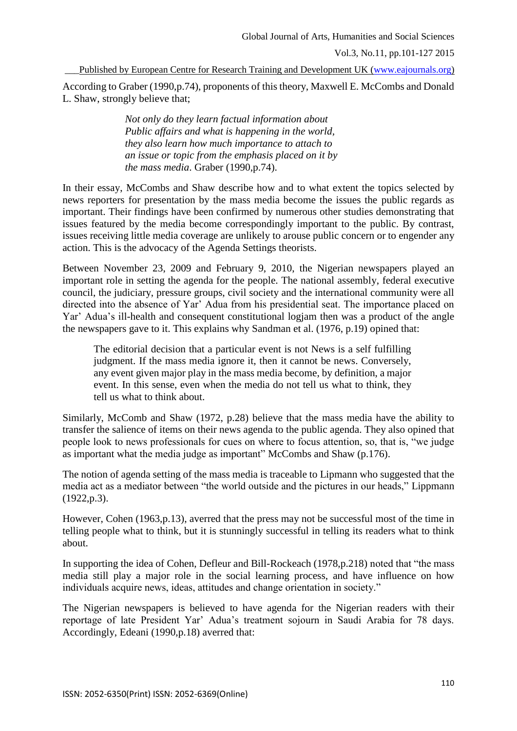Published by European Centre for Research Training and Development UK [\(www.eajournals.org\)](http://www.eajournals.org/)

According to Graber (1990,p.74), proponents of this theory, Maxwell E. McCombs and Donald L. Shaw, strongly believe that;

> *Not only do they learn factual information about Public affairs and what is happening in the world, they also learn how much importance to attach to an issue or topic from the emphasis placed on it by the mass media*. Graber (1990,p.74).

In their essay, McCombs and Shaw describe how and to what extent the topics selected by news reporters for presentation by the mass media become the issues the public regards as important. Their findings have been confirmed by numerous other studies demonstrating that issues featured by the media become correspondingly important to the public. By contrast, issues receiving little media coverage are unlikely to arouse public concern or to engender any action. This is the advocacy of the Agenda Settings theorists.

Between November 23, 2009 and February 9, 2010, the Nigerian newspapers played an important role in setting the agenda for the people. The national assembly, federal executive council, the judiciary, pressure groups, civil society and the international community were all directed into the absence of Yar' Adua from his presidential seat. The importance placed on Yar' Adua's ill-health and consequent constitutional logjam then was a product of the angle the newspapers gave to it. This explains why Sandman et al. (1976, p.19) opined that:

The editorial decision that a particular event is not News is a self fulfilling judgment. If the mass media ignore it, then it cannot be news. Conversely, any event given major play in the mass media become, by definition, a major event. In this sense, even when the media do not tell us what to think, they tell us what to think about.

Similarly, McComb and Shaw (1972, p.28) believe that the mass media have the ability to transfer the salience of items on their news agenda to the public agenda. They also opined that people look to news professionals for cues on where to focus attention, so, that is, "we judge as important what the media judge as important" McCombs and Shaw (p.176).

The notion of agenda setting of the mass media is traceable to Lipmann who suggested that the media act as a mediator between "the world outside and the pictures in our heads," Lippmann (1922,p.3).

However, Cohen (1963,p.13), averred that the press may not be successful most of the time in telling people what to think, but it is stunningly successful in telling its readers what to think about.

In supporting the idea of Cohen, Defleur and Bill-Rockeach (1978,p.218) noted that "the mass media still play a major role in the social learning process, and have influence on how individuals acquire news, ideas, attitudes and change orientation in society."

The Nigerian newspapers is believed to have agenda for the Nigerian readers with their reportage of late President Yar' Adua's treatment sojourn in Saudi Arabia for 78 days. Accordingly, Edeani (1990,p.18) averred that: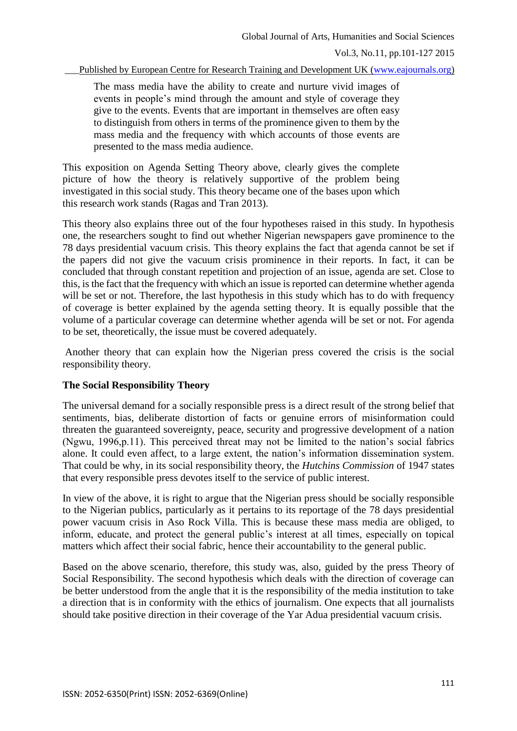Published by European Centre for Research Training and Development UK [\(www.eajournals.org\)](http://www.eajournals.org/)

The mass media have the ability to create and nurture vivid images of events in people's mind through the amount and style of coverage they give to the events. Events that are important in themselves are often easy to distinguish from others in terms of the prominence given to them by the mass media and the frequency with which accounts of those events are presented to the mass media audience.

This exposition on Agenda Setting Theory above, clearly gives the complete picture of how the theory is relatively supportive of the problem being investigated in this social study. This theory became one of the bases upon which this research work stands (Ragas and Tran 2013).

This theory also explains three out of the four hypotheses raised in this study. In hypothesis one, the researchers sought to find out whether Nigerian newspapers gave prominence to the 78 days presidential vacuum crisis. This theory explains the fact that agenda cannot be set if the papers did not give the vacuum crisis prominence in their reports. In fact, it can be concluded that through constant repetition and projection of an issue, agenda are set. Close to this, is the fact that the frequency with which an issue is reported can determine whether agenda will be set or not. Therefore, the last hypothesis in this study which has to do with frequency of coverage is better explained by the agenda setting theory. It is equally possible that the volume of a particular coverage can determine whether agenda will be set or not. For agenda to be set, theoretically, the issue must be covered adequately.

Another theory that can explain how the Nigerian press covered the crisis is the social responsibility theory.

## **The Social Responsibility Theory**

The universal demand for a socially responsible press is a direct result of the strong belief that sentiments, bias, deliberate distortion of facts or genuine errors of misinformation could threaten the guaranteed sovereignty, peace, security and progressive development of a nation (Ngwu, 1996,p.11). This perceived threat may not be limited to the nation's social fabrics alone. It could even affect, to a large extent, the nation's information dissemination system. That could be why, in its social responsibility theory, the *Hutchins Commission* of 1947 states that every responsible press devotes itself to the service of public interest.

In view of the above, it is right to argue that the Nigerian press should be socially responsible to the Nigerian publics, particularly as it pertains to its reportage of the 78 days presidential power vacuum crisis in Aso Rock Villa. This is because these mass media are obliged, to inform, educate, and protect the general public's interest at all times, especially on topical matters which affect their social fabric, hence their accountability to the general public.

Based on the above scenario, therefore, this study was, also, guided by the press Theory of Social Responsibility. The second hypothesis which deals with the direction of coverage can be better understood from the angle that it is the responsibility of the media institution to take a direction that is in conformity with the ethics of journalism. One expects that all journalists should take positive direction in their coverage of the Yar Adua presidential vacuum crisis.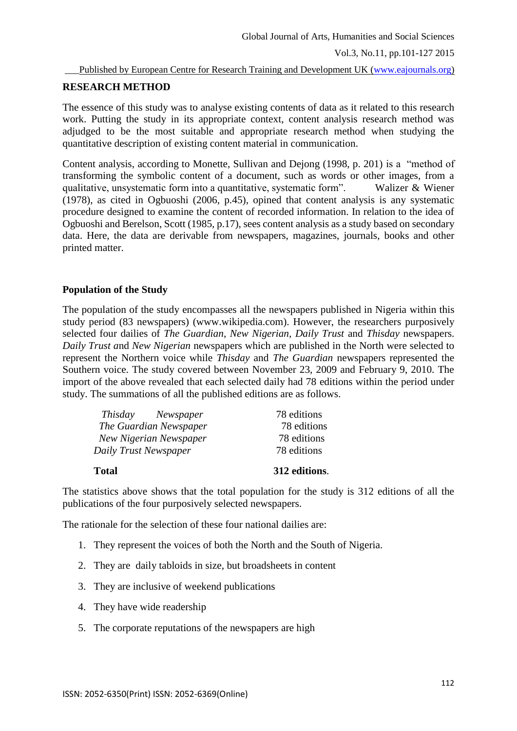#### Published by European Centre for Research Training and Development UK [\(www.eajournals.org\)](http://www.eajournals.org/)

## **RESEARCH METHOD**

The essence of this study was to analyse existing contents of data as it related to this research work. Putting the study in its appropriate context, content analysis research method was adjudged to be the most suitable and appropriate research method when studying the quantitative description of existing content material in communication.

Content analysis, according to Monette, Sullivan and Dejong (1998, p. 201) is a "method of transforming the symbolic content of a document, such as words or other images, from a qualitative, unsystematic form into a quantitative, systematic form". Walizer & Wiener (1978), as cited in Ogbuoshi (2006, p.45), opined that content analysis is any systematic procedure designed to examine the content of recorded information. In relation to the idea of Ogbuoshi and Berelson, Scott (1985, p.17), sees content analysis as a study based on secondary data. Here, the data are derivable from newspapers, magazines, journals, books and other printed matter.

## **Population of the Study**

The population of the study encompasses all the newspapers published in Nigeria within this study period (83 newspapers) (www.wikipedia.com). However, the researchers purposively selected four dailies of *The Guardian, New Nigerian, Daily Trust* and *Thisday* newspapers. *Daily Trust a*nd *New Nigerian* newspapers which are published in the North were selected to represent the Northern voice while *Thisday* and *The Guardian* newspapers represented the Southern voice. The study covered between November 23, 2009 and February 9, 2010. The import of the above revealed that each selected daily had 78 editions within the period under study. The summations of all the published editions are as follows.

| Daily Trust Newspaper  | 78 editions   |
|------------------------|---------------|
| Total                  | 312 editions. |
| The Guardian Newspaper | 78 editions   |
| New Nigerian Newspaper | 78 editions   |
| Thisday Newspaper      | 78 editions   |

The statistics above shows that the total population for the study is 312 editions of all the publications of the four purposively selected newspapers.

The rationale for the selection of these four national dailies are:

- 1. They represent the voices of both the North and the South of Nigeria.
- 2. They are daily tabloids in size, but broadsheets in content
- 3. They are inclusive of weekend publications
- 4. They have wide readership
- 5. The corporate reputations of the newspapers are high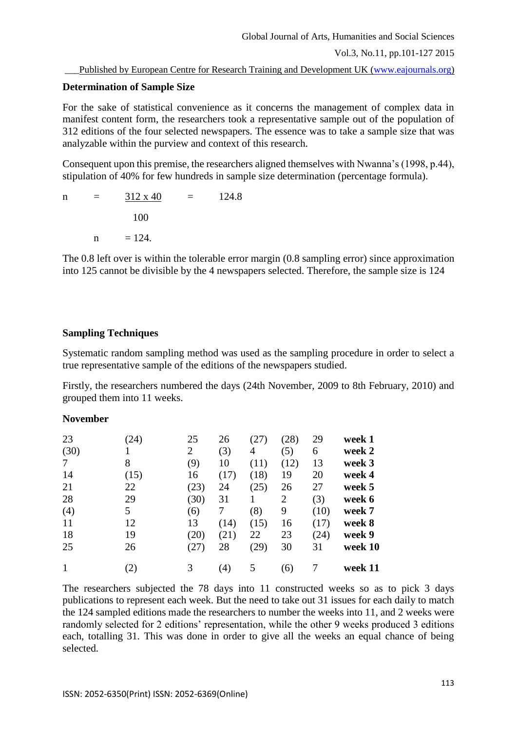# **Determination of Sample Size**

For the sake of statistical convenience as it concerns the management of complex data in manifest content form, the researchers took a representative sample out of the population of 312 editions of the four selected newspapers. The essence was to take a sample size that was analyzable within the purview and context of this research.

Consequent upon this premise, the researchers aligned themselves with Nwanna's (1998, p.44), stipulation of 40% for few hundreds in sample size determination (percentage formula).

 $n = 312 \times 40 = 124.8$  100  $n = 124.$ 

The 0.8 left over is within the tolerable error margin (0.8 sampling error) since approximation into 125 cannot be divisible by the 4 newspapers selected. Therefore, the sample size is 124

# **Sampling Techniques**

Systematic random sampling method was used as the sampling procedure in order to select a true representative sample of the editions of the newspapers studied.

Firstly, the researchers numbered the days (24th November, 2009 to 8th February, 2010) and grouped them into 11 weeks.

# **November**

| 23   | (24)          | 25             | 26   | (27)           | (28)           | 29   | week 1  |
|------|---------------|----------------|------|----------------|----------------|------|---------|
| (30) |               | $\overline{2}$ | (3)  | $\overline{4}$ | (5)            | 6    | week 2  |
| 7    | 8             | (9)            | 10   | (11)           | (12)           | 13   | week 3  |
| 14   | (15)          | 16             | (17) | (18)           | 19             | 20   | week 4  |
| 21   | 22            | (23)           | 24   | (25)           | 26             | 27   | week 5  |
| 28   | 29            | (30)           | 31   |                | $\overline{2}$ | (3)  | week 6  |
| (4)  | 5             | (6)            | 7    | (8)            | 9              | (10) | week 7  |
| 11   | 12            | 13             | (14) | (15)           | 16             | (17) | week 8  |
| 18   | 19            | (20)           | (21) | 22             | 23             | (24) | week 9  |
| 25   | 26            | (27)           | 28   | (29)           | 30             | 31   | week 10 |
|      | $\mathbf{2})$ | 3              | (4)  | 5              | (6)            |      | week 11 |

The researchers subjected the 78 days into 11 constructed weeks so as to pick 3 days publications to represent each week. But the need to take out 31 issues for each daily to match the 124 sampled editions made the researchers to number the weeks into 11, and 2 weeks were randomly selected for 2 editions' representation, while the other 9 weeks produced 3 editions each, totalling 31. This was done in order to give all the weeks an equal chance of being selected.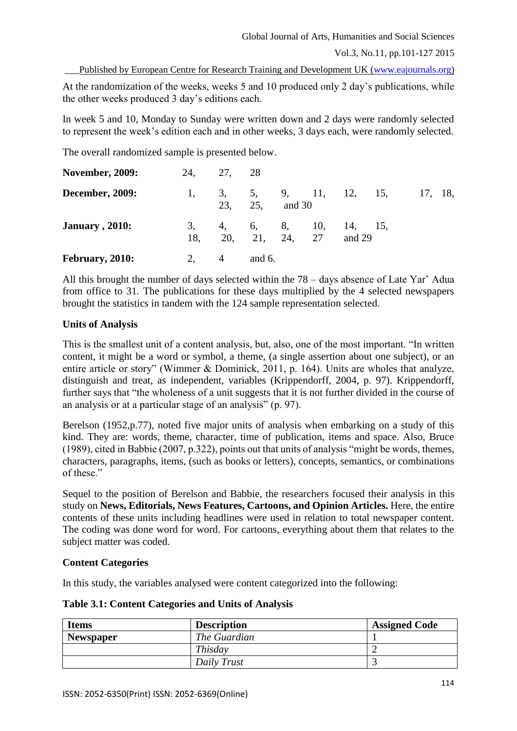Vol.3, No.11, pp.101-127 2015

Published by European Centre for Research Training and Development UK [\(www.eajournals.org\)](http://www.eajournals.org/)

At the randomization of the weeks, weeks 5 and 10 produced only 2 day's publications, while the other weeks produced 3 day's editions each.

In week 5 and 10, Monday to Sunday were written down and 2 days were randomly selected to represent the week's edition each and in other weeks, 3 days each, were randomly selected.

The overall randomized sample is presented below.

| <b>November, 2009:</b> | 24,       | 27, 28               |                |        |        |                      |         |  |
|------------------------|-----------|----------------------|----------------|--------|--------|----------------------|---------|--|
| <b>December, 2009:</b> |           |                      | 23, 25,        | and 30 |        | 3, 5, 9, 11, 12, 15, | 17, 18, |  |
| <b>January</b> , 2010: | 3,<br>18. | 4, 6, 8, 10, 14, 15, | 20, 21, 24, 27 |        | and 29 |                      |         |  |
| February, 2010:        |           | $\overline{4}$       | and $6$ .      |        |        |                      |         |  |

All this brought the number of days selected within the 78 – days absence of Late Yar' Adua from office to 31. The publications for these days multiplied by the 4 selected newspapers brought the statistics in tandem with the 124 sample representation selected.

## **Units of Analysis**

This is the smallest unit of a content analysis, but, also, one of the most important. "In written content, it might be a word or symbol, a theme, (a single assertion about one subject), or an entire article or story" (Wimmer & Dominick, 2011, p. 164). Units are wholes that analyze, distinguish and treat, as independent, variables (Krippendorff, 2004, p. 97). Krippendorff, further says that "the wholeness of a unit suggests that it is not further divided in the course of an analysis or at a particular stage of an analysis" (p. 97).

Berelson (1952, p.77), noted five major units of analysis when embarking on a study of this kind. They are: words, theme, character, time of publication, items and space. Also, Bruce (1989), cited in Babbie (2007, p.322), points out that units of analysis "might be words, themes, characters, paragraphs, items, (such as books or letters), concepts, semantics, or combinations of these."

Sequel to the position of Berelson and Babbie, the researchers focused their analysis in this study on **News, Editorials, News Features, Cartoons, and Opinion Articles.** Here, the entire contents of these units including headlines were used in relation to total newspaper content. The coding was done word for word. For cartoons, everything about them that relates to the subject matter was coded.

## **Content Categories**

In this study, the variables analysed were content categorized into the following:

|  |  | <b>Table 3.1: Content Categories and Units of Analysis</b> |
|--|--|------------------------------------------------------------|
|  |  |                                                            |

| <b>Items</b>     | <b>Description</b> | <b>Assigned Code</b> |
|------------------|--------------------|----------------------|
| <b>Newspaper</b> | The Guardian       |                      |
|                  | Thisday            |                      |
|                  | Daily Trust        |                      |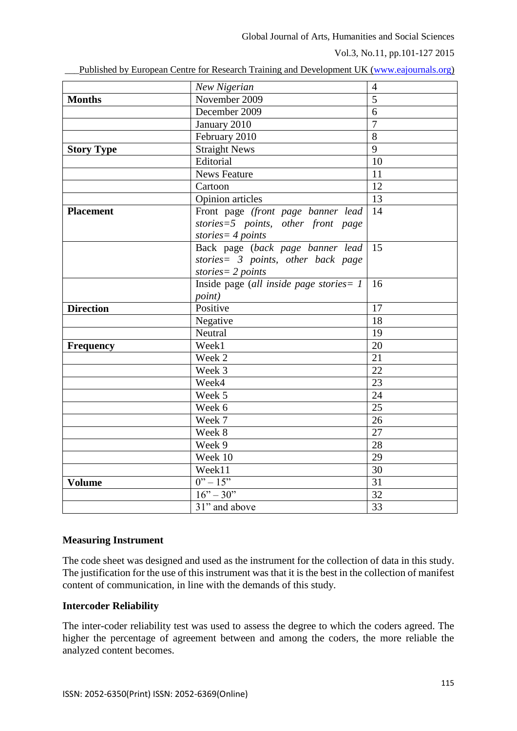Vol.3, No.11, pp.101-127 2015

| Published by European Centre for Research Training and Development UK (www.eajournals.org) |  |  |  |  |  |
|--------------------------------------------------------------------------------------------|--|--|--|--|--|
|                                                                                            |  |  |  |  |  |

|                   | New Nigerian                               | $\overline{4}$  |
|-------------------|--------------------------------------------|-----------------|
| <b>Months</b>     | November 2009                              | $\overline{5}$  |
|                   | December 2009                              | 6               |
|                   | January 2010                               | $\overline{7}$  |
|                   | February 2010                              | $\overline{8}$  |
| <b>Story Type</b> | <b>Straight News</b>                       | 9               |
|                   | Editorial                                  | 10              |
|                   | <b>News Feature</b>                        | 11              |
|                   | Cartoon                                    | $\overline{12}$ |
|                   | Opinion articles                           | 13              |
| <b>Placement</b>  | Front page (front page banner lead         | 14              |
|                   | stories=5 points, other front page         |                 |
|                   | stories = $4$ points                       |                 |
|                   | Back page (back page banner lead           | 15              |
|                   | stories= 3 points, other back page         |                 |
|                   | stories = $2$ points                       |                 |
|                   | Inside page (all inside page stories = $1$ | 16              |
|                   | <i>point</i> )                             |                 |
| <b>Direction</b>  | Positive                                   | 17              |
|                   | Negative                                   | 18              |
|                   | Neutral                                    | 19              |
| <b>Frequency</b>  | Week1                                      | 20              |
|                   | Week 2                                     | 21              |
|                   | Week 3                                     | $\overline{22}$ |
|                   | Week4                                      | 23              |
|                   | Week 5                                     | 24              |
|                   | Week 6                                     | 25              |
|                   | Week 7                                     | $\overline{26}$ |
|                   | Week 8                                     | $\overline{27}$ |
|                   | Week 9                                     | 28              |
|                   | Week 10                                    | 29              |
|                   | Week11                                     | $\overline{30}$ |
| <b>Volume</b>     | $0'' - 15''$                               | $\overline{31}$ |
|                   | $16" - 30"$                                | 32              |
|                   | 31" and above                              | $\overline{33}$ |
|                   |                                            |                 |

## **Measuring Instrument**

The code sheet was designed and used as the instrument for the collection of data in this study. The justification for the use of this instrument was that it is the best in the collection of manifest content of communication, in line with the demands of this study.

## **Intercoder Reliability**

The inter-coder reliability test was used to assess the degree to which the coders agreed. The higher the percentage of agreement between and among the coders, the more reliable the analyzed content becomes.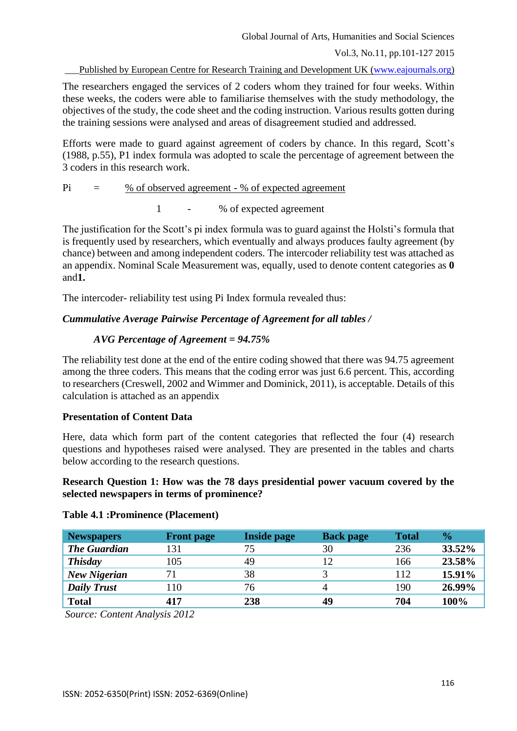Vol.3, No.11, pp.101-127 2015

Published by European Centre for Research Training and Development UK [\(www.eajournals.org\)](http://www.eajournals.org/)

The researchers engaged the services of 2 coders whom they trained for four weeks. Within these weeks, the coders were able to familiarise themselves with the study methodology, the objectives of the study, the code sheet and the coding instruction. Various results gotten during the training sessions were analysed and areas of disagreement studied and addressed.

Efforts were made to guard against agreement of coders by chance. In this regard, Scott's (1988, p.55), P1 index formula was adopted to scale the percentage of agreement between the 3 coders in this research work.

$$
Pi = \frac{\% \text{ of observed agreement} - \% \text{ of expected agreement}}
$$

1 - % of expected agreement

The justification for the Scott's pi index formula was to guard against the Holsti's formula that is frequently used by researchers, which eventually and always produces faulty agreement (by chance) between and among independent coders. The intercoder reliability test was attached as an appendix. Nominal Scale Measurement was, equally, used to denote content categories as **0**  and**1.** 

The intercoder- reliability test using Pi Index formula revealed thus:

# *Cummulative Average Pairwise Percentage of Agreement for all tables /*

## *AVG Percentage of Agreement = 94.75%*

The reliability test done at the end of the entire coding showed that there was 94.75 agreement among the three coders. This means that the coding error was just 6.6 percent. This, according to researchers (Creswell, 2002 and Wimmer and Dominick, 2011), is acceptable. Details of this calculation is attached as an appendix

## **Presentation of Content Data**

Here, data which form part of the content categories that reflected the four (4) research questions and hypotheses raised were analysed. They are presented in the tables and charts below according to the research questions.

## **Research Question 1: How was the 78 days presidential power vacuum covered by the selected newspapers in terms of prominence?**

## **Table 4.1 :Prominence (Placement)**

| <b>Newspapers</b>   | <b>Front page</b> | <b>Inside page</b> | <b>Back page</b> | <b>Total</b> | $\frac{6}{9}$ |
|---------------------|-------------------|--------------------|------------------|--------------|---------------|
| <b>The Guardian</b> | 131               | 75                 | 30               | 236          | 33.52%        |
| <b>Thisday</b>      | 105               | 49                 |                  | 166          | 23.58%        |
| <b>New Nigerian</b> | 71                | 38                 |                  | 112          | 15.91%        |
| <b>Daily Trust</b>  | 110               | 76                 | 4                | 190          | 26.99%        |
| <b>Total</b>        | 417               | 238                | 49               | 704          | 100%          |

*Source: Content Analysis 2012*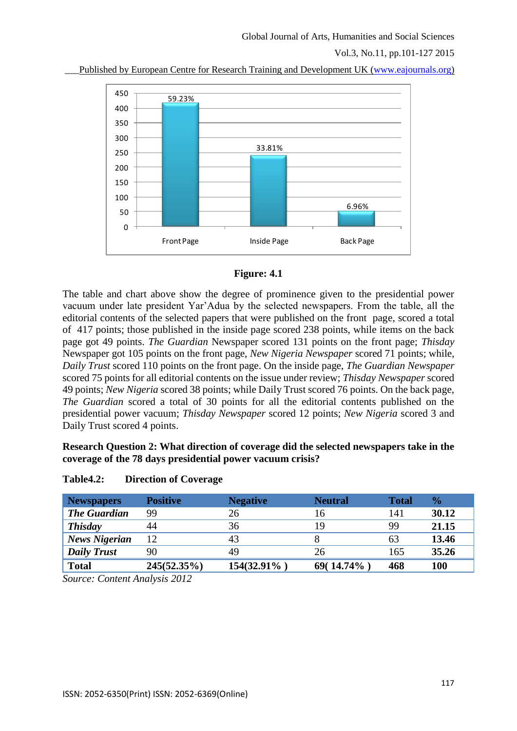Vol.3, No.11, pp.101-127 2015







The table and chart above show the degree of prominence given to the presidential power vacuum under late president Yar'Adua by the selected newspapers. From the table, all the editorial contents of the selected papers that were published on the front page, scored a total of 417 points; those published in the inside page scored 238 points, while items on the back page got 49 points. *The Guardian* Newspaper scored 131 points on the front page; *Thisday*  Newspaper got 105 points on the front page, *New Nigeria Newspaper* scored 71 points; while, *Daily Trust* scored 110 points on the front page. On the inside page, *The Guardian Newspaper* scored 75 points for all editorial contents on the issue under review; *Thisday Newspaper* scored 49 points; *New Nigeria* scored 38 points; while Daily Trust scored 76 points. On the back page, *The Guardian* scored a total of 30 points for all the editorial contents published on the presidential power vacuum; *Thisday Newspaper* scored 12 points; *New Nigeria* scored 3 and Daily Trust scored 4 points.

## **Research Question 2: What direction of coverage did the selected newspapers take in the coverage of the 78 days presidential power vacuum crisis?**

| <b>Newspapers</b>    | <b>Positive</b> | <b>Negative</b> | <b>Neutral</b> | <b>Total</b> | $\frac{0}{2}$ |
|----------------------|-----------------|-----------------|----------------|--------------|---------------|
| <b>The Guardian</b>  | 99              | 26              | 16             | 141          | 30.12         |
| <b>Thisday</b>       | 44              | 36              | 19             | 99           | 21.15         |
| <b>News Nigerian</b> | 12              | 43              |                | 63           | 13.46         |
| <b>Daily Trust</b>   | 90              | 49              | 26             | 165          | 35.26         |
| <b>Total</b>         | $245(52.35\%)$  | 154(32.91%)     | $69(14.74\%)$  | 468          | <b>100</b>    |

## **Table4.2: Direction of Coverage**

*Source: Content Analysis 2012*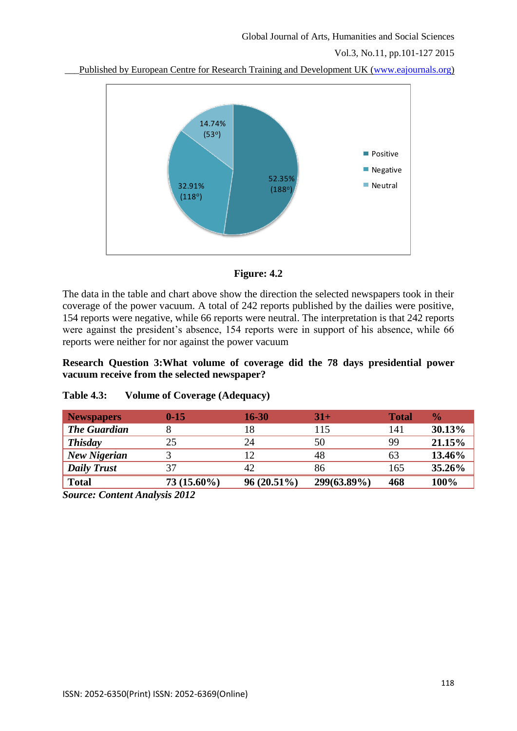Vol.3, No.11, pp.101-127 2015

Published by European Centre for Research Training and Development UK [\(www.eajournals.org\)](http://www.eajournals.org/)





The data in the table and chart above show the direction the selected newspapers took in their coverage of the power vacuum. A total of 242 reports published by the dailies were positive, 154 reports were negative, while 66 reports were neutral. The interpretation is that 242 reports were against the president's absence, 154 reports were in support of his absence, while 66 reports were neither for nor against the power vacuum

**Research Question 3:What volume of coverage did the 78 days presidential power vacuum receive from the selected newspaper?**

| <b>Newspapers</b>   | $0 - 15$      | 16-30         | $31+$       | <b>Total</b> | $\frac{1}{2}$ |
|---------------------|---------------|---------------|-------------|--------------|---------------|
| <b>The Guardian</b> |               | 18            | 115         | 141          | 30.13%        |
| <b>Thisday</b>      | 25            | 24            | 50          | 99           | 21.15%        |
| <b>New Nigerian</b> |               | 12            | 48          | 63           | 13.46%        |
| <b>Daily Trust</b>  | 37            | 42            | 86          | 165          | 35.26%        |
| <b>Total</b>        | $73(15.60\%)$ | $96(20.51\%)$ | 299(63.89%) | 468          | 100%          |

## **Table 4.3: Volume of Coverage (Adequacy)**

*Source: Content Analysis 2012*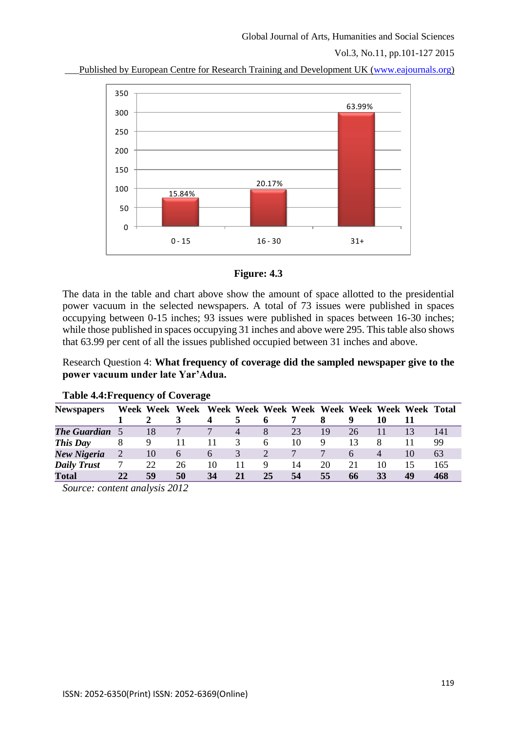Vol.3, No.11, pp.101-127 2015

Published by European Centre for Research Training and Development UK [\(www.eajournals.org\)](http://www.eajournals.org/)





The data in the table and chart above show the amount of space allotted to the presidential power vacuum in the selected newspapers. A total of 73 issues were published in spaces occupying between 0-15 inches; 93 issues were published in spaces between 16-30 inches; while those published in spaces occupying 31 inches and above were 295. This table also shows that 63.99 per cent of all the issues published occupied between 31 inches and above.

Research Question 4: **What frequency of coverage did the sampled newspaper give to the power vacuum under late Yar'Adua.**

| <b>Newspapers</b>                                                                                                                                                                                                                                                                                                 |                | Week Week | Week              |    |                |    |    |    |    |                |    |     |
|-------------------------------------------------------------------------------------------------------------------------------------------------------------------------------------------------------------------------------------------------------------------------------------------------------------------|----------------|-----------|-------------------|----|----------------|----|----|----|----|----------------|----|-----|
|                                                                                                                                                                                                                                                                                                                   |                |           |                   | 4  |                |    |    |    | 9  | 10             |    |     |
| <b>The Guardian</b>                                                                                                                                                                                                                                                                                               |                | 18        |                   | 7  | $\overline{4}$ | 8  | 23 | 19 | 26 |                | 13 | 141 |
| This Day                                                                                                                                                                                                                                                                                                          | 8              | 9         |                   |    | 3              | 6  | 10 | 9  | 13 | 8              |    | 99  |
| New Nigeria                                                                                                                                                                                                                                                                                                       | $\overline{2}$ | 10        | $\mathsf{\Omega}$ | 6  | 3              |    |    |    | 6  | $\overline{4}$ | 10 | 63  |
| <b>Daily Trust</b>                                                                                                                                                                                                                                                                                                | 7              | 22        | 26                | 10 | 11             |    | 14 | 20 | 21 | 10             | 15 | 165 |
| Total                                                                                                                                                                                                                                                                                                             | 22             | 59        | 50                | 34 | 21             | 25 | 54 | 55 | 66 | 33             | 49 | 468 |
| $\mathcal{C}$ and $\mathcal{C}$ and $\mathcal{C}$ and $\mathcal{C}$ and $\mathcal{C}$ and $\mathcal{C}$ and $\mathcal{C}$ and $\mathcal{C}$ and $\mathcal{C}$ and $\mathcal{C}$ and $\mathcal{C}$ and $\mathcal{C}$ and $\mathcal{C}$ and $\mathcal{C}$ and $\mathcal{C}$ and $\mathcal{C}$ and $\mathcal{C}$ and |                |           |                   |    |                |    |    |    |    |                |    |     |

### **Table 4.4:Frequency of Coverage**

*Source: content analysis 2012*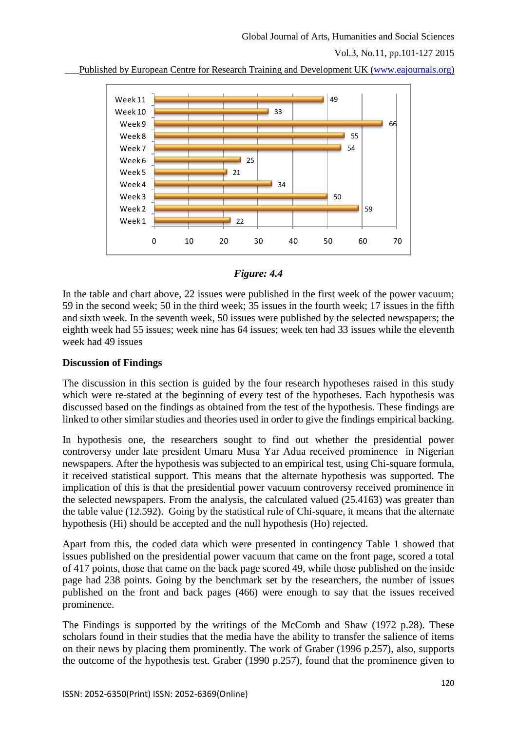Vol.3, No.11, pp.101-127 2015





## *Figure: 4.4*

In the table and chart above, 22 issues were published in the first week of the power vacuum; 59 in the second week; 50 in the third week; 35 issues in the fourth week; 17 issues in the fifth and sixth week. In the seventh week, 50 issues were published by the selected newspapers; the eighth week had 55 issues; week nine has 64 issues; week ten had 33 issues while the eleventh week had 49 issues

## **Discussion of Findings**

The discussion in this section is guided by the four research hypotheses raised in this study which were re-stated at the beginning of every test of the hypotheses. Each hypothesis was discussed based on the findings as obtained from the test of the hypothesis. These findings are linked to other similar studies and theories used in order to give the findings empirical backing.

In hypothesis one, the researchers sought to find out whether the presidential power controversy under late president Umaru Musa Yar Adua received prominence in Nigerian newspapers. After the hypothesis was subjected to an empirical test, using Chi-square formula, it received statistical support. This means that the alternate hypothesis was supported. The implication of this is that the presidential power vacuum controversy received prominence in the selected newspapers. From the analysis, the calculated valued (25.4163) was greater than the table value (12.592). Going by the statistical rule of Chi-square, it means that the alternate hypothesis (Hi) should be accepted and the null hypothesis (Ho) rejected.

Apart from this, the coded data which were presented in contingency Table 1 showed that issues published on the presidential power vacuum that came on the front page, scored a total of 417 points, those that came on the back page scored 49, while those published on the inside page had 238 points. Going by the benchmark set by the researchers, the number of issues published on the front and back pages (466) were enough to say that the issues received prominence.

The Findings is supported by the writings of the McComb and Shaw (1972 p.28). These scholars found in their studies that the media have the ability to transfer the salience of items on their news by placing them prominently. The work of Graber (1996 p.257), also, supports the outcome of the hypothesis test. Graber (1990 p.257), found that the prominence given to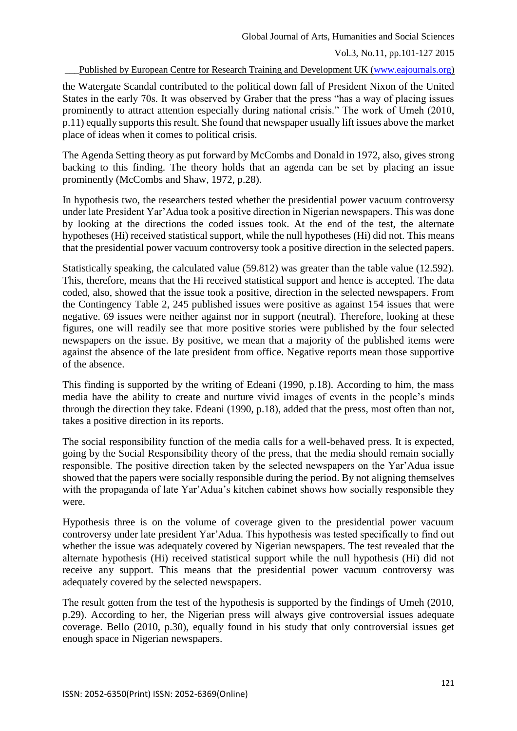Published by European Centre for Research Training and Development UK [\(www.eajournals.org\)](http://www.eajournals.org/)

the Watergate Scandal contributed to the political down fall of President Nixon of the United States in the early 70s. It was observed by Graber that the press "has a way of placing issues prominently to attract attention especially during national crisis." The work of Umeh (2010, p.11) equally supports this result. She found that newspaper usually lift issues above the market place of ideas when it comes to political crisis.

The Agenda Setting theory as put forward by McCombs and Donald in 1972, also, gives strong backing to this finding. The theory holds that an agenda can be set by placing an issue prominently (McCombs and Shaw, 1972, p.28).

In hypothesis two, the researchers tested whether the presidential power vacuum controversy under late President Yar'Adua took a positive direction in Nigerian newspapers. This was done by looking at the directions the coded issues took. At the end of the test, the alternate hypotheses (Hi) received statistical support, while the null hypotheses (Hi) did not. This means that the presidential power vacuum controversy took a positive direction in the selected papers.

Statistically speaking, the calculated value (59.812) was greater than the table value (12.592). This, therefore, means that the Hi received statistical support and hence is accepted. The data coded, also, showed that the issue took a positive, direction in the selected newspapers. From the Contingency Table 2, 245 published issues were positive as against 154 issues that were negative. 69 issues were neither against nor in support (neutral). Therefore, looking at these figures, one will readily see that more positive stories were published by the four selected newspapers on the issue. By positive, we mean that a majority of the published items were against the absence of the late president from office. Negative reports mean those supportive of the absence.

This finding is supported by the writing of Edeani (1990, p.18). According to him, the mass media have the ability to create and nurture vivid images of events in the people's minds through the direction they take. Edeani (1990, p.18), added that the press, most often than not, takes a positive direction in its reports.

The social responsibility function of the media calls for a well-behaved press. It is expected, going by the Social Responsibility theory of the press, that the media should remain socially responsible. The positive direction taken by the selected newspapers on the Yar'Adua issue showed that the papers were socially responsible during the period. By not aligning themselves with the propaganda of late Yar'Adua's kitchen cabinet shows how socially responsible they were.

Hypothesis three is on the volume of coverage given to the presidential power vacuum controversy under late president Yar'Adua. This hypothesis was tested specifically to find out whether the issue was adequately covered by Nigerian newspapers. The test revealed that the alternate hypothesis (Hi) received statistical support while the null hypothesis (Hi) did not receive any support. This means that the presidential power vacuum controversy was adequately covered by the selected newspapers.

The result gotten from the test of the hypothesis is supported by the findings of Umeh (2010, p.29). According to her, the Nigerian press will always give controversial issues adequate coverage. Bello (2010, p.30), equally found in his study that only controversial issues get enough space in Nigerian newspapers.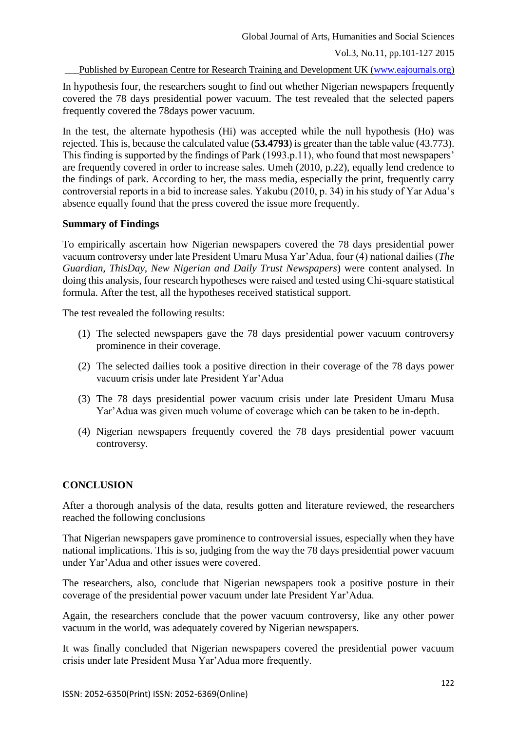Published by European Centre for Research Training and Development UK [\(www.eajournals.org\)](http://www.eajournals.org/)

In hypothesis four, the researchers sought to find out whether Nigerian newspapers frequently covered the 78 days presidential power vacuum. The test revealed that the selected papers frequently covered the 78days power vacuum.

In the test, the alternate hypothesis (Hi) was accepted while the null hypothesis (Ho) was rejected. This is, because the calculated value (**53.4793**) is greater than the table value (43.773). This finding is supported by the findings of Park (1993.p.11), who found that most newspapers' are frequently covered in order to increase sales. Umeh (2010, p.22), equally lend credence to the findings of park. According to her, the mass media, especially the print, frequently carry controversial reports in a bid to increase sales. Yakubu (2010, p. 34) in his study of Yar Adua's absence equally found that the press covered the issue more frequently.

## **Summary of Findings**

To empirically ascertain how Nigerian newspapers covered the 78 days presidential power vacuum controversy under late President Umaru Musa Yar'Adua, four (4) national dailies (*The Guardian, ThisDay, New Nigerian and Daily Trust Newspapers*) were content analysed. In doing this analysis, four research hypotheses were raised and tested using Chi-square statistical formula. After the test, all the hypotheses received statistical support.

The test revealed the following results:

- (1) The selected newspapers gave the 78 days presidential power vacuum controversy prominence in their coverage.
- (2) The selected dailies took a positive direction in their coverage of the 78 days power vacuum crisis under late President Yar'Adua
- (3) The 78 days presidential power vacuum crisis under late President Umaru Musa Yar'Adua was given much volume of coverage which can be taken to be in-depth.
- (4) Nigerian newspapers frequently covered the 78 days presidential power vacuum controversy.

# **CONCLUSION**

After a thorough analysis of the data, results gotten and literature reviewed, the researchers reached the following conclusions

That Nigerian newspapers gave prominence to controversial issues, especially when they have national implications. This is so, judging from the way the 78 days presidential power vacuum under Yar'Adua and other issues were covered.

The researchers, also, conclude that Nigerian newspapers took a positive posture in their coverage of the presidential power vacuum under late President Yar'Adua.

Again, the researchers conclude that the power vacuum controversy, like any other power vacuum in the world, was adequately covered by Nigerian newspapers.

It was finally concluded that Nigerian newspapers covered the presidential power vacuum crisis under late President Musa Yar'Adua more frequently.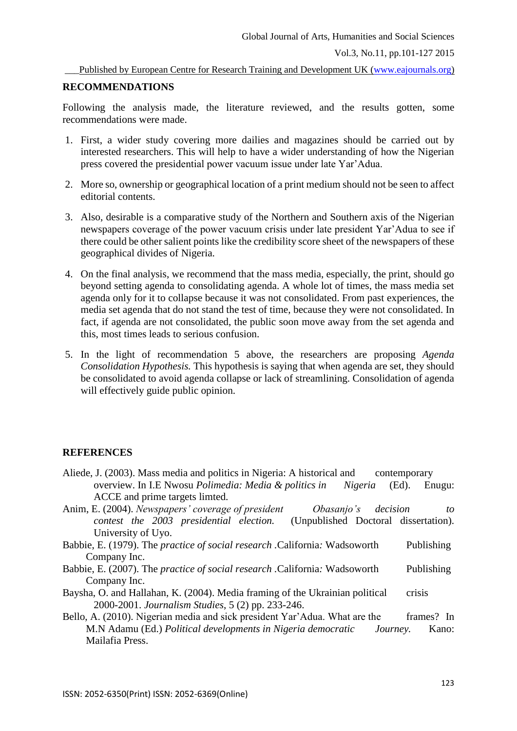Published by European Centre for Research Training and Development UK [\(www.eajournals.org\)](http://www.eajournals.org/)

### **RECOMMENDATIONS**

Following the analysis made, the literature reviewed, and the results gotten, some recommendations were made.

- 1. First, a wider study covering more dailies and magazines should be carried out by interested researchers. This will help to have a wider understanding of how the Nigerian press covered the presidential power vacuum issue under late Yar'Adua.
- 2. More so, ownership or geographical location of a print medium should not be seen to affect editorial contents.
- 3. Also, desirable is a comparative study of the Northern and Southern axis of the Nigerian newspapers coverage of the power vacuum crisis under late president Yar'Adua to see if there could be other salient points like the credibility score sheet of the newspapers of these geographical divides of Nigeria.
- 4. On the final analysis, we recommend that the mass media, especially, the print, should go beyond setting agenda to consolidating agenda. A whole lot of times, the mass media set agenda only for it to collapse because it was not consolidated. From past experiences, the media set agenda that do not stand the test of time, because they were not consolidated. In fact, if agenda are not consolidated, the public soon move away from the set agenda and this, most times leads to serious confusion.
- 5. In the light of recommendation 5 above, the researchers are proposing *Agenda Consolidation Hypothesis.* This hypothesis is saying that when agenda are set, they should be consolidated to avoid agenda collapse or lack of streamlining. Consolidation of agenda will effectively guide public opinion.

## **REFERENCES**

| Aliede, J. (2003). Mass media and politics in Nigeria: A historical and |                                                                  |  |                             | contemporary |  |
|-------------------------------------------------------------------------|------------------------------------------------------------------|--|-----------------------------|--------------|--|
|                                                                         | overview. In I.E Nwosu <i>Polimedia: Media &amp; politics in</i> |  | <i>Nigeria</i> (Ed). Enugu: |              |  |
|                                                                         | ACCE and prime targets limted.                                   |  |                             |              |  |
|                                                                         |                                                                  |  |                             |              |  |

- Anim, E. (2004). *Newspapers' coverage of president Obasanjo's decision to contest the 2003 presidential election.* (Unpublished Doctoral dissertation). University of Uyo.
- Babbie, E. (1979). The *practice of social research .*California*:* Wadsoworth Publishing Company Inc.
- Babbie, E. (2007). The *practice of social research .*California*:* Wadsoworth Publishing Company Inc.
- Baysha, O. and Hallahan, K. (2004). Media framing of the Ukrainian political crisis 2000-2001. *Journalism Studies*, 5 (2) pp. 233-246.
- Bello, A. (2010). Nigerian media and sick president Yar'Adua. What are the frames? In M.N Adamu (Ed.) *Political developments in Nigeria democratic Journey.* Kano: Mailafia Press.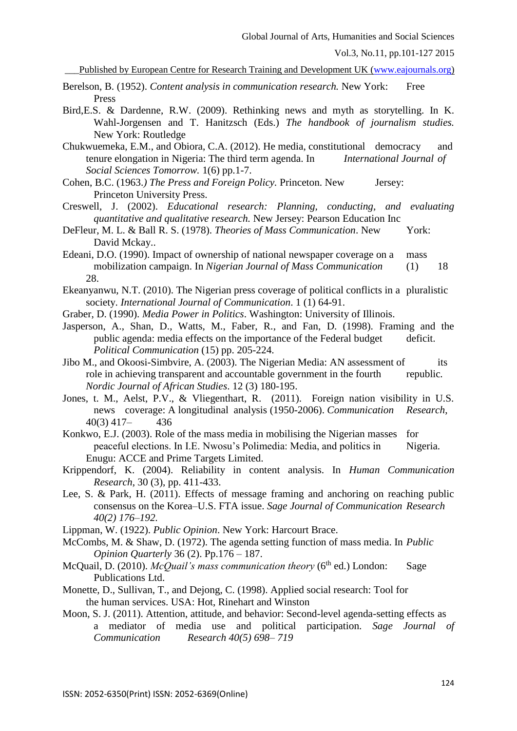Published by European Centre for Research Training and Development UK [\(www.eajournals.org\)](http://www.eajournals.org/)

- Berelson, B. (1952). *Content analysis in communication research*. New York: Free Press
- Bird,E.S. & Dardenne, R.W. (2009). Rethinking news and myth as storytelling. In K. Wahl-Jorgensen and T. Hanitzsch (Eds.) *The handbook of journalism studies.* New York: Routledge
- Chukwuemeka, E.M., and Obiora, C.A. (2012). He media, constitutional democracy and tenure elongation in Nigeria: The third term agenda. In *International Journal of Social Sciences Tomorrow.* 1(6) pp.1-7.
- Cohen, B.C. (1963.*) The Press and Foreign Policy.* Princeton. New Jersey: Princeton University Press.
- Creswell, J. (2002). *Educational research: Planning, conducting, and evaluating quantitative and qualitative research.* New Jersey: Pearson Education Inc
- DeFleur, M. L. & Ball R. S. (1978). *Theories of Mass Communication*. New York: David Mckay..
- Edeani, D.O. (1990). Impact of ownership of national newspaper coverage on a mass mobilization campaign. In *Nigerian Journal of Mass Communication* (1) 18 28.
- Ekeanyanwu, N.T. (2010). The Nigerian press coverage of political conflicts in a pluralistic society. *International Journal of Communication*. 1 (1) 64-91.
- Graber, D. (1990). *Media Power in Politics*. Washington: University of Illinois.
- Jasperson, A., Shan, D., Watts, M., Faber, R., and Fan, D. (1998). Framing and the public agenda: media effects on the importance of the Federal budget deficit. *Political Communication* (15) pp. 205-224.
- Jibo M., and Okoosi-Simbvire, A. (2003). The Nigerian Media: AN assessment of its role in achieving transparent and accountable government in the fourth republic*. Nordic Journal of African Studies*. 12 (3) 180-195.
- Jones, t. M., Aelst, P.V., & Vliegenthart, R. (2011). Foreign nation visibility in U.S. news coverage: A longitudinal analysis (1950-2006). *Communication Research*, 40(3) 417– 436
- Konkwo, E.J. (2003). Role of the mass media in mobilising the Nigerian masses for peaceful elections. In I.E. Nwosu's Polimedia: Media, and politics in Nigeria. Enugu: ACCE and Prime Targets Limited.
- Krippendorf, K. (2004). Reliability in content analysis. In *Human Communication Research*, 30 (3), pp. 411-433.
- Lee, S. & Park, H. (2011). Effects of message framing and anchoring on reaching public consensus on the Korea–U.S. FTA issue. *Sage Journal of Communication Research 40(2) 176–192.*
- Lippman, W. (1922). *Public Opinion*. New York: Harcourt Brace.
- McCombs, M. & Shaw, D. (1972). The agenda setting function of mass media. In *Public Opinion Quarterly* 36 (2). Pp.176 – 187.
- McQuail, D. (2010). *McQuail's mass communication theory* (6<sup>th</sup> ed.) London: Sage Publications Ltd.
- Monette, D., Sullivan, T., and Dejong, C. (1998). Applied social research: Tool for the human services. USA: Hot, Rinehart and Winston
- Moon, S. J. (2011). Attention, attitude, and behavior: Second-level agenda-setting effects as a mediator of media use and political participation. *Sage Journal of Communication Research 40(5) 698– 719*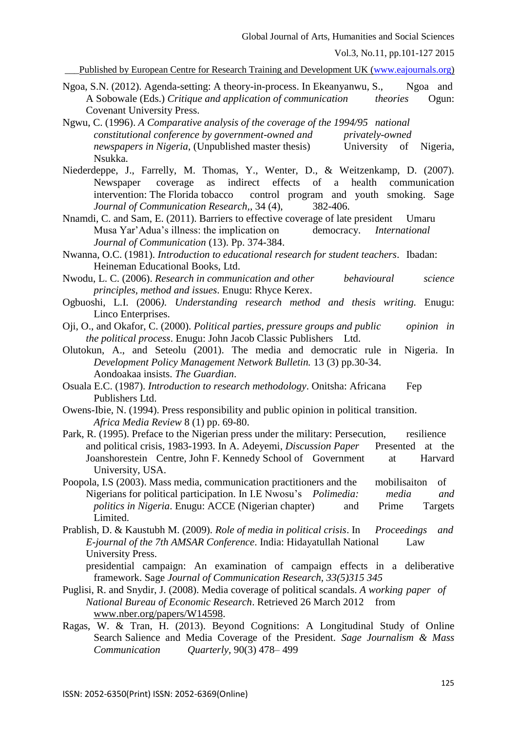Vol.3, No.11, pp.101-127 2015

Published by European Centre for Research Training and Development UK [\(www.eajournals.org\)](http://www.eajournals.org/)

- Ngoa, S.N. (2012). Agenda-setting: A theory-in-process. In Ekeanyanwu, S., Ngoa and A Sobowale (Eds.) *Critique and application of communication theories* Ogun: Covenant University Press.
- Ngwu, C. (1996). *A Comparative analysis of the coverage of the 1994/95 national constitutional conference by government-owned and privately-owned newspapers in Nigeria*, (Unpublished master thesis) University of Nigeria, Nsukka.
- Niederdeppe, J., Farrelly, M. Thomas, Y., Wenter, D., & Weitzenkamp, D. (2007). Newspaper coverage as indirect effects of a health communication intervention: The Florida tobacco control program and youth smoking. Sage *Journal of Communication Research,*, 34 (4), 382-406.
- Nnamdi, C. and Sam, E. (2011). Barriers to effective coverage of late president Umaru Musa Yar'Adua's illness: the implication on democracy. *International Journal of Communication* (13). Pp. 374-384.
- Nwanna, O.C. (1981). *Introduction to educational research for student teachers*. Ibadan: Heineman Educational Books, Ltd.
- Nwodu, L. C. (2006). *Research in communication and other behavioural science principles, method and issues*. Enugu: Rhyce Kerex.
- Ogbuoshi, L.I. (2006*). Understanding research method and thesis writing.* Enugu: Linco Enterprises.
- Oji, O., and Okafor, C. (2000). *Political parties, pressure groups and public opinion in the political process*. Enugu: John Jacob Classic Publishers Ltd.
- Olutokun, A., and Seteolu (2001). The media and democratic rule in Nigeria. In *Development Policy Management Network Bulletin.* 13 (3) pp.30-34. Aondoakaa insists. *The Guardian*.
- Osuala E.C. (1987). *Introduction to research methodology*. Onitsha: Africana Fep Publishers Ltd.
- Owens-Ibie, N. (1994). Press responsibility and public opinion in political transition. *Africa Media Review* 8 (1) pp. 69-80.
- Park, R. (1995). Preface to the Nigerian press under the military: Persecution, resilience and political crisis, 1983-1993. In A. Adeyemi, *Discussion Paper* Presented at the Joanshorestein Centre, John F. Kennedy School of Government at Harvard University, USA.
- Poopola, I.S (2003). Mass media, communication practitioners and the mobilisaiton of Nigerians for political participation. In I.E Nwosu's *Polimedia: media and politics in Nigeria*. Enugu: ACCE (Nigerian chapter) and Prime Targets Limited.
- Prablish, D. & Kaustubh M. (2009). *Role of media in political crisis*. In *Proceedings and E-journal of the 7th AMSAR Conference*. India: Hidayatullah National Law University Press.
	- presidential campaign: An examination of campaign effects in a deliberative framework. Sage *Journal of Communication Research, 33(5)315 345*
- Puglisi, R. and Snydir, J. (2008). Media coverage of political scandals. *A working paper of National Bureau of Economic Research*. Retrieved 26 March 2012 from [www.nber.org/papers/W14598.](http://www.nber.org/papers/W14598)
- Ragas, W. & Tran, H. (2013). Beyond Cognitions: A Longitudinal Study of Online Search Salience and Media Coverage of the President. *Sage Journalism & Mass Communication Quarterly,* 90(3) 478– 499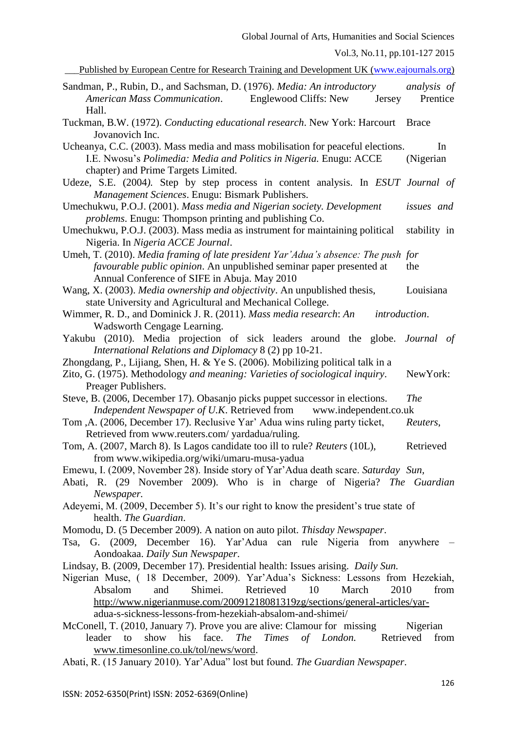Global Journal of Arts, Humanities and Social Sciences Vol.3, No.11, pp.101-127 2015 Published by European Centre for Research Training and Development UK [\(www.eajournals.org\)](http://www.eajournals.org/) Sandman, P., Rubin, D., and Sachsman, D. (1976). *Media: An introductory analysis of American Mass Communication*. Englewood Cliffs: New Jersey Prentice Hall. Tuckman, B.W. (1972). *Conducting educational research*. New York: Harcourt Brace Jovanovich Inc. Ucheanya, C.C. (2003). Mass media and mass mobilisation for peaceful elections. In I.E. Nwosu's *Polimedia: Media and Politics in Nigeria.* Enugu: ACCE (Nigerian chapter) and Prime Targets Limited. Udeze, S.E. (2004*).* Step by step process in content analysis. In *ESUT Journal of Management Sciences*. Enugu: Bismark Publishers. Umechukwu, P.O.J. (2001). *Mass media and Nigerian society. Development issues and problems*. Enugu: Thompson printing and publishing Co. Umechukwu, P.O.J. (2003). Mass media as instrument for maintaining political stability in Nigeria. In *Nigeria ACCE Journal*. Umeh, T. (2010). *Media framing of late president Yar'Adua's absence: The push for favourable public opinion*. An unpublished seminar paper presented at the Annual Conference of SIFE in Abuja. May 2010 Wang, X. (2003). *Media ownership and objectivity*. An unpublished thesis, Louisiana state University and Agricultural and Mechanical College. Wimmer, R. D., and Dominick J. R. (2011). *Mass media research*: *An introduction*. Wadsworth Cengage Learning. Yakubu (2010). Media projection of sick leaders around the globe. *Journal of International Relations and Diplomacy* 8 (2) pp 10-21. Zhongdang, P., Lijiang, Shen, H. & Ye S. (2006). Mobilizing political talk in a Zito, G. (1975). Methodology *and meaning: Varieties of sociological inquiry*. NewYork: Preager Publishers. Steve, B. (2006, December 17). Obasanjo picks puppet successor in elections. *The Independent Newspaper of U.K*. Retrieved from www.independent.co.uk Tom ,A. (2006, December 17). Reclusive Yar' Adua wins ruling party ticket, *Reuters*, Retrieved from www.reuters.com/ yardadua/ruling. Tom, A. (2007, March 8). Is Lagos candidate too ill to rule? *Reuters* (10L), Retrieved from www.wikipedia.org/wiki/umaru-musa-yadua Emewu, I. (2009, November 28). Inside story of Yar'Adua death scare. *Saturday Sun,*  Abati, R. (29 November 2009). Who is in charge of Nigeria? *The Guardian Newspaper.* Adeyemi, M. (2009, December 5). It's our right to know the president's true state of health. *The Guardian*. Momodu, D. (5 December 2009). A nation on auto pilot. *Thisday Newspaper*. Tsa, G. (2009, December 16). Yar'Adua can rule Nigeria from anywhere – Aondoakaa. *Daily Sun Newspaper*. Lindsay, B. (2009, December 17). Presidential health: Issues arising. *Daily Sun.* Nigerian Muse, ( 18 December, 2009). Yar'Adua's Sickness: Lessons from Hezekiah, Absalom and Shimei. Retrieved 10 March 2010 from [http://www.nigerianmuse.com/20091218081319zg/sections/general-articles/yar](http://www.nigerianmuse.com/20091218081319zg/sections/general-articles/yar-)adua-s-sickness-lessons-from-hezekiah-absalom-and-shimei/ McConell, T. (2010, January 7). Prove you are alive: Clamour for missing Nigerian leader to show his face. *The Times of London.* Retrieved from [www.timesonline.co.uk/tol/news/word.](http://www.timesonline.co.uk/tol/news/word)

Abati, R. (15 January 2010). Yar'Adua" lost but found. *The Guardian Newspaper*.